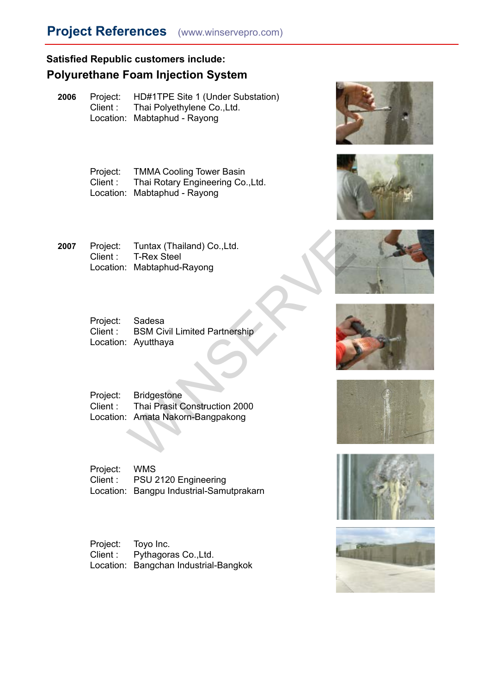**2006** Project: HD#1TPE Site 1 (Under Substation) Client : Thai Polyethylene Co.,Ltd. Location: Mabtaphud - Rayong

> Project: TMMA Cooling Tower Basin Client : Thai Rotary Engineering Co.,Ltd. Location: Mabtaphud - Rayong

**2007** Project: Tuntax (Thailand) Co.,Ltd. Client : T-Rex Steel Location: Mabtaphud-Rayong

- Project: Sadesa Client : BSM Civil Limited Partnership Location: Ayutthaya
- Project: Bridgestone Client : Thai Prasit Construction 2000 Location: Amata Nakorn-Bangpakong Tuntax (Thailand) Co.,Ltd.<br>
T-Rex Steel<br>
Mabtaphud-Rayong<br>
Sadesa<br>
BSM Civil Limited Partnership<br>
Ayutthaya<br>
Midgestone<br>
Thai Prasit Construction 2000<br>
Amata Nakorn-Bangpakong<br>
Mata Nakorn-Bangpakong

Project: WMS Client : PSU 2120 Engineering Location: Bangpu Industrial-Samutprakarn

Project: Toyo Inc. Client : Pythagoras Co.,Ltd. Location: Bangchan Industrial-Bangkok















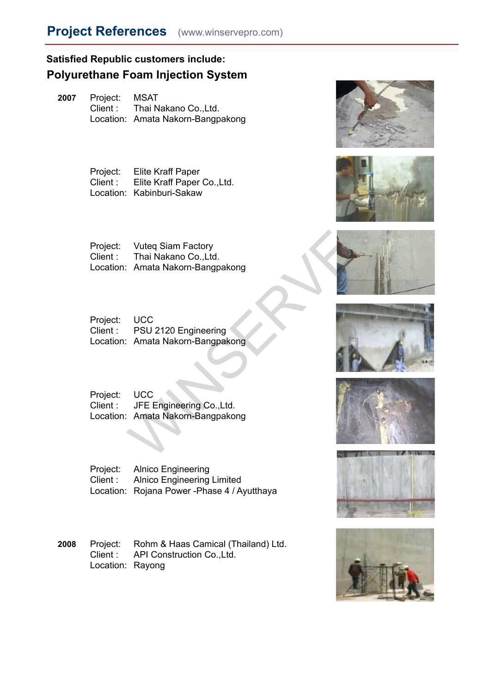**2007** Project: MSAT Client : Thai Nakano Co.,Ltd. Location: Amata Nakorn-Bangpakong

> Project: Elite Kraff Paper Client : Elite Kraff Paper Co.,Ltd. Location: Kabinburi-Sakaw

Project: Vuteq Siam Factory Client : Thai Nakano Co.,Ltd. Location: Amata Nakorn-Bangpakong Vuteq Siam Factory<br>
Thai Nakano Co.,Ltd.<br>
Amata Nakom-Bangpakong<br>
UCC<br>
PSU 2120 Engineering<br>
Amata Nakom-Bangpakong<br>
UCC<br>
JFE Engineering Co.,Ltd.<br>
Amata Nakom-Bangpakong<br>
Nakom-Bangpakong

Project: UCC Client : PSU 2120 Engineering Location: Amata Nakorn-Bangpakong

Project: UCC Client : JFE Engineering Co.,Ltd. Location: Amata Nakorn-Bangpakong

Project: Alnico Engineering Client : Alnico Engineering Limited Location: Rojana Power -Phase 4 / Ayutthaya

**2008** Project: Rohm & Haas Camical (Thailand) Ltd. Client : API Construction Co.,Ltd. Location: Rayong















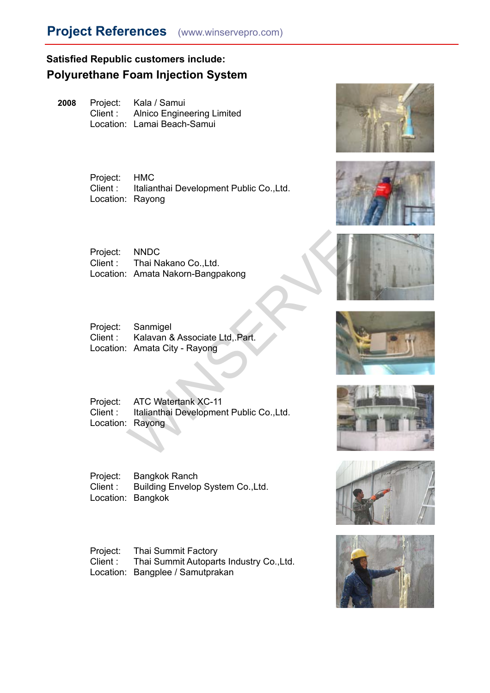## **Project References** (www.winservepro.com)

## **Satisfied Republic customers include: Polyurethane Foam Injection System**

**2008** Project: Kala / Samui Client : Alnico Engineering Limited Location: Lamai Beach-Samui

> Project: HMC Client : Italianthai Development Public Co.,Ltd. Location: Rayong

Project: NNDC Client : Thai Nakano Co.,Ltd. Location: Amata Nakorn-Bangpakong

Project: Sanmigel Client : Kalavan & Associate Ltd,.Part. Location: Amata City - Rayong

Project: ATC Watertank XC-11 Client : Italianthai Development Public Co.,Ltd. Location: Rayong NNDC<br>
Thai Nakano Co.,Ltd.<br>
Amata Nakorn-Bangpakong<br>
Sanmigel<br>
Kalavan & Associate Ltd, Part.<br>
Amata City - Rayong<br>
ATC Watertank XC-11<br>
Italianthai Development Public Co.,Ltd.<br>
Rayong

Project: Bangkok Ranch Client : Building Envelop System Co.,Ltd. Location: Bangkok

Project: Thai Summit Factory Client : Thai Summit Autoparts Industry Co.,Ltd. Location: Bangplee / Samutprakan















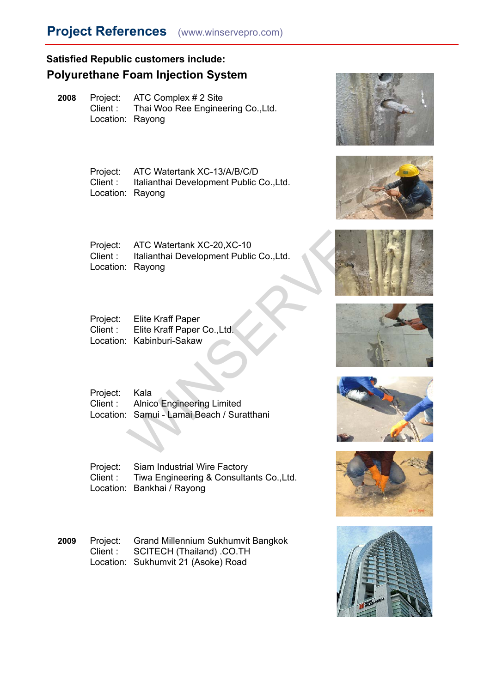**2008** Project: ATC Complex # 2 Site Client : Thai Woo Ree Engineering Co.,Ltd. Location: Rayong

> Project: ATC Watertank XC-13/A/B/C/D Client : Italianthai Development Public Co.,Ltd. Location: Rayong

Project: ATC Watertank XC-20,XC-10 Client : Italianthai Development Public Co.,Ltd. Location: Rayong ATC Watertank XC-20, XC-10<br>
Italianthai Development Public Co., Ltd.<br>
Rayong<br>
Elite Kraff Paper<br>
Elite Kraff Paper<br>
Elite Kraff Paper<br>
Elite Kraff Paper<br>
Click Kabinburi-Sakaw<br>
Kala<br>
Alnico Engineering Limited<br>
Samui - Lam

Project: Elite Kraff Paper Client : Elite Kraff Paper Co.,Ltd. Location: Kabinburi-Sakaw

Project: Kala Client : Alnico Engineering Limited Location: Samui - Lamai Beach / Suratthani

Project: Siam Industrial Wire Factory Client : Tiwa Engineering & Consultants Co.,Ltd. Location: Bankhai / Rayong

**2009** Project: Grand Millennium Sukhumvit Bangkok Client : SCITECH (Thailand) .CO.TH Location: Sukhumvit 21 (Asoke) Road















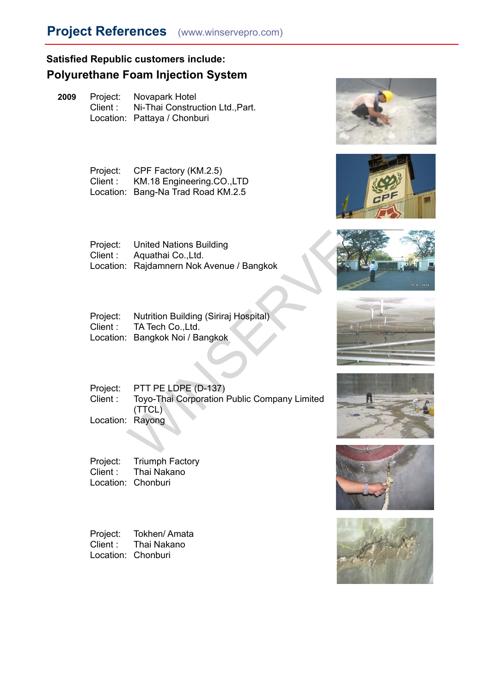

# **Project References** (www.winservepro.com)

## **Satisfied Republic customers include: Polyurethane Foam Injection System**

**2009** Project: Novapark Hotel Client : Ni-Thai Construction Ltd.,Part. Location: Pattaya / Chonburi

> Project: CPF Factory (KM.2.5) Client : KM.18 Engineering.CO.,LTD Location: Bang-Na Trad Road KM.2.5

Project: United Nations Building Client : Aquathai Co.,Ltd. Location: Rajdamnern Nok Avenue / Bangkok

Project: Nutrition Building (Siriraj Hospital) Client : TA Tech Co.,Ltd. Location: Bangkok Noi / Bangkok

Project: PTT PE LDPE (D-137) Client : Toyo-Thai Corporation Public Company Limited (TTCL) Location: Rayong United Nations Building<br>
Aquathai Co.,Ltd.<br>
Rajdamnern Nok Avenue / Bangkok<br>
Nutrition Building (Siriraj Hospital)<br>
TA Tech Co.,Ltd.<br>
Bangkok Noi / Bangkok<br>
Vice / Bangkok Noi / Bangkok<br>
TT PE LDPE (D-137)<br>
Toyo-Thai Corpo

Project: Triumph Factory Client : Thai Nakano Location: Chonburi

Project: Tokhen/ Amata Client : Thai Nakano Location: Chonburi